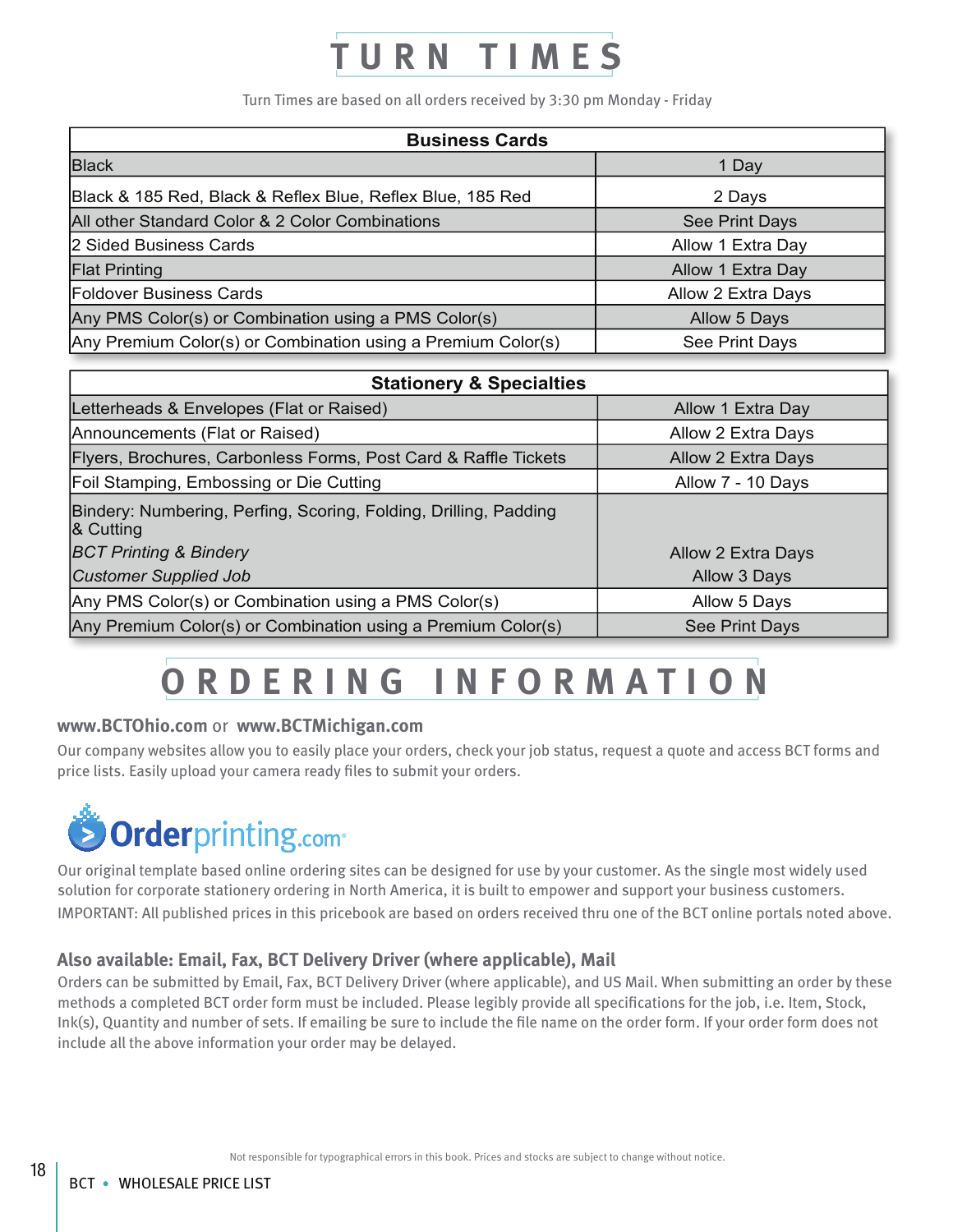# URN TIMES

Turn Times are based on all orders received by 3:30 pm Monday - Friday

| <b>Business Cards</b>                                        |                    |
|--------------------------------------------------------------|--------------------|
| <b>Black</b>                                                 | 1 Day              |
| Black & 185 Red, Black & Reflex Blue, Reflex Blue, 185 Red   | 2 Days             |
| All other Standard Color & 2 Color Combinations              | See Print Days     |
| 2 Sided Business Cards                                       | Allow 1 Extra Day  |
| <b>Flat Printing</b>                                         | Allow 1 Extra Day  |
| <b>Foldover Business Cards</b>                               | Allow 2 Extra Days |
| Any PMS Color(s) or Combination using a PMS Color(s)         | Allow 5 Days       |
| Any Premium Color(s) or Combination using a Premium Color(s) | See Print Days     |

| <b>Stationery &amp; Specialties</b>                                           |                           |
|-------------------------------------------------------------------------------|---------------------------|
| Letterheads & Envelopes (Flat or Raised)                                      | Allow 1 Extra Day         |
| Announcements (Flat or Raised)                                                | Allow 2 Extra Days        |
| Flyers, Brochures, Carbonless Forms, Post Card & Raffle Tickets               | <b>Allow 2 Extra Days</b> |
| Foil Stamping, Embossing or Die Cutting                                       | Allow 7 - 10 Days         |
| Bindery: Numbering, Perfing, Scoring, Folding, Drilling, Padding<br>& Cutting |                           |
| <b>BCT Printing &amp; Bindery</b>                                             | Allow 2 Extra Days        |
| <b>Customer Supplied Job</b>                                                  | Allow 3 Days              |
| Any PMS Color(s) or Combination using a PMS Color(s)                          | Allow 5 Days              |
| Any Premium Color(s) or Combination using a Premium Color(s)                  | See Print Days            |

## **ORDERING INFORMATION**

#### **www.BCTOhio.com** or **www.BCTMichigan.com**

Our company websites allow you to easily place your orders, check your job status, request a quote and access BCT forms and price lists. Easily upload your camera ready files to submit your orders.



Our original template based online ordering sites can be designed for use by your customer. As the single most widely used solution for corporate stationery ordering in North America, it is built to empower and support your business customers. IMPORTANT: All published prices in this pricebook are based on orders received thru one of the BCT online portals noted above.

### **Also available: Email, Fax, BCT Delivery Driver (where applicable), Mail**

Orders can be submitted by Email, Fax, BCT Delivery Driver (where applicable), and US Mail. When submitting an order by these methods a completed BCT order form must be included. Please legibly provide all specifications for the job, i.e. Item, Stock, Ink(s), Quantity and number of sets. If emailing be sure to include the file name on the order form. If your order form does not include all the above information your order may be delayed.